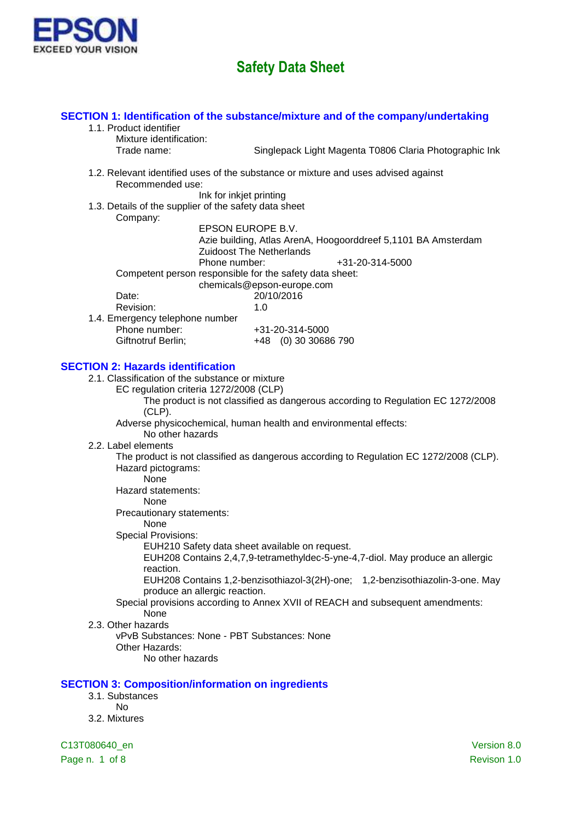

### **SECTION 1: Identification of the substance/mixture and of the company/undertaking**

- 1.1. Product identifier
	- Mixture identification:

Trade name: Singlepack Light Magenta T0806 Claria Photographic Ink

1.2. Relevant identified uses of the substance or mixture and uses advised against Recommended use:

Ink for inkjet printing

1.3. Details of the supplier of the safety data sheet Company:

EPSON EUROPE B.V. Azie building, Atlas ArenA, Hoogoorddreef 5,1101 BA Amsterdam Zuidoost The Netherlands Phone number:  $+31-20-314-5000$ Competent person responsible for the safety data sheet: chemicals@epson-europe.com Date: 20/10/2016 Revision: 1.0 1.4. Emergency telephone number Phone number: +31-20-314-5000 Giftnotruf Berlin; +48 (0) 30 30686 790

### **SECTION 2: Hazards identification**

- 2.1. Classification of the substance or mixture
	- EC regulation criteria 1272/2008 (CLP)

The product is not classified as dangerous according to Regulation EC 1272/2008 (CLP).

Adverse physicochemical, human health and environmental effects:

- No other hazards
- 2.2. Label elements

The product is not classified as dangerous according to Regulation EC 1272/2008 (CLP). Hazard pictograms:

None

Hazard statements:

None

Precautionary statements:

#### None

Special Provisions:

EUH210 Safety data sheet available on request.

EUH208 Contains 2,4,7,9-tetramethyldec-5-yne-4,7-diol. May produce an allergic reaction.

EUH208 Contains 1,2-benzisothiazol-3(2H)-one; 1,2-benzisothiazolin-3-one. May produce an allergic reaction.

#### Special provisions according to Annex XVII of REACH and subsequent amendments: None

2.3. Other hazards

vPvB Substances: None - PBT Substances: None Other Hazards: No other hazards

#### **SECTION 3: Composition/information on ingredients**

- 3.1. Substances
	- No
- 3.2. Mixtures

C13T080640\_en Version 8.0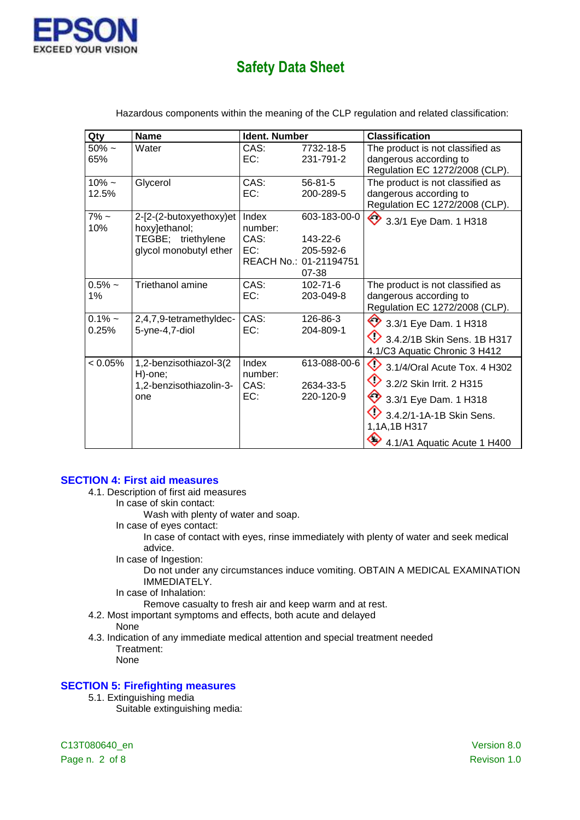

| Qty                | <b>Name</b>                                                                              | Ident. Number                   |                                                                          | <b>Classification</b>                                                                                                                                                            |
|--------------------|------------------------------------------------------------------------------------------|---------------------------------|--------------------------------------------------------------------------|----------------------------------------------------------------------------------------------------------------------------------------------------------------------------------|
| $50\%$ ~<br>65%    | Water                                                                                    | CAS:<br>EC:                     | 7732-18-5<br>231-791-2                                                   | The product is not classified as<br>dangerous according to<br>Regulation EC 1272/2008 (CLP).                                                                                     |
| $10\% -$<br>12.5%  | Glycerol                                                                                 | CAS:<br>EC:                     | $56 - 81 - 5$<br>200-289-5                                               | The product is not classified as<br>dangerous according to<br>Regulation EC 1272/2008 (CLP).                                                                                     |
| $7\%$ ~<br>10%     | 2-[2-(2-butoxyethoxy)et<br>hoxy]ethanol;<br>TEGBE; triethylene<br>glycol monobutyl ether | Index<br>number:<br>CAS:<br>EC: | 603-183-00-0<br>143-22-6<br>205-592-6<br>REACH No.: 01-21194751<br>07-38 | ◇<br>3.3/1 Eye Dam. 1 H318                                                                                                                                                       |
| $0.5%$ ~<br>1%     | Triethanol amine                                                                         | CAS:<br>EC:                     | $102 - 71 - 6$<br>203-049-8                                              | The product is not classified as<br>dangerous according to<br>Regulation EC 1272/2008 (CLP).                                                                                     |
| $0.1\%$ ~<br>0.25% | 2,4,7,9-tetramethyldec-<br>5-yne-4,7-diol                                                | CAS:<br>EC:                     | 126-86-3<br>204-809-1                                                    | ◇<br>3.3/1 Eye Dam. 1 H318<br>3.4.2/1B Skin Sens. 1B H317<br>4.1/C3 Aquatic Chronic 3 H412                                                                                       |
| $< 0.05\%$         | 1,2-benzisothiazol-3(2<br>H)-one;<br>1,2-benzisothiazolin-3-<br>one                      | Index<br>number:<br>CAS:<br>EC: | 613-088-00-6<br>2634-33-5<br>220-120-9                                   | ◇<br>3.1/4/Oral Acute Tox. 4 H302<br>◇<br>3.2/2 Skin Irrit. 2 H315<br>◇<br>3.3/1 Eye Dam. 1 H318<br>3.4.2/1-1A-1B Skin Sens.<br>1,1A,1B H317<br>c<br>4.1/A1 Aquatic Acute 1 H400 |

Hazardous components within the meaning of the CLP regulation and related classification:

#### **SECTION 4: First aid measures**

- 4.1. Description of first aid measures
	- In case of skin contact:

Wash with plenty of water and soap.

In case of eyes contact:

In case of contact with eyes, rinse immediately with plenty of water and seek medical advice.

In case of Ingestion:

Do not under any circumstances induce vomiting. OBTAIN A MEDICAL EXAMINATION IMMEDIATELY.

In case of Inhalation:

Remove casualty to fresh air and keep warm and at rest.

- 4.2. Most important symptoms and effects, both acute and delayed
- None
- 4.3. Indication of any immediate medical attention and special treatment needed Treatment:

None

#### **SECTION 5: Firefighting measures**

5.1. Extinguishing media

Suitable extinguishing media:

C13T080640\_en Version 8.0 Page n. 2 of 8 Revison 1.0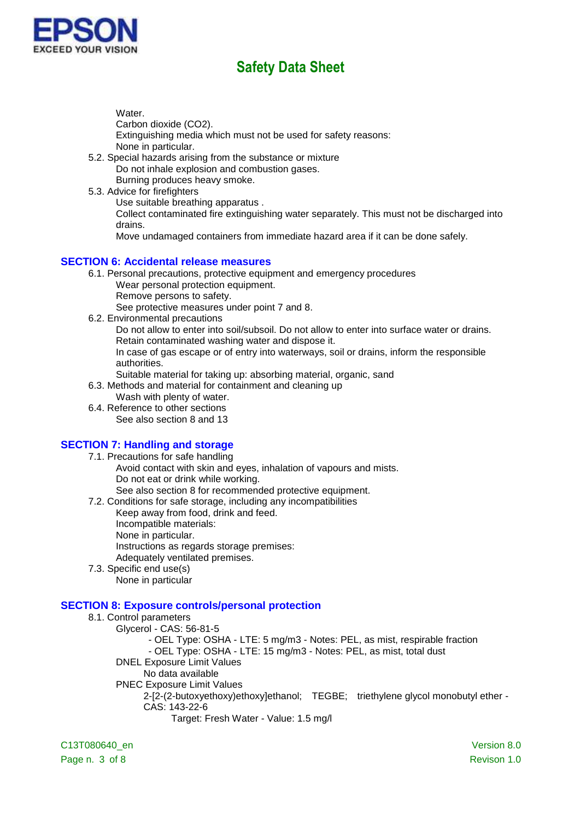

Water.

Carbon dioxide (CO2).

Extinguishing media which must not be used for safety reasons: None in particular.

- 5.2. Special hazards arising from the substance or mixture Do not inhale explosion and combustion gases. Burning produces heavy smoke.
- 5.3. Advice for firefighters

Use suitable breathing apparatus .

Collect contaminated fire extinguishing water separately. This must not be discharged into drains.

Move undamaged containers from immediate hazard area if it can be done safely.

### **SECTION 6: Accidental release measures**

- 6.1. Personal precautions, protective equipment and emergency procedures
	- Wear personal protection equipment.
	- Remove persons to safety.

See protective measures under point 7 and 8.

6.2. Environmental precautions

Do not allow to enter into soil/subsoil. Do not allow to enter into surface water or drains. Retain contaminated washing water and dispose it.

In case of gas escape or of entry into waterways, soil or drains, inform the responsible authorities.

Suitable material for taking up: absorbing material, organic, sand

6.3. Methods and material for containment and cleaning up

- Wash with plenty of water.
- 6.4. Reference to other sections See also section 8 and 13

### **SECTION 7: Handling and storage**

- 7.1. Precautions for safe handling Avoid contact with skin and eyes, inhalation of vapours and mists. Do not eat or drink while working. See also section 8 for recommended protective equipment.
- 7.2. Conditions for safe storage, including any incompatibilities
	- Keep away from food, drink and feed.
		- Incompatible materials:
		- None in particular.
		- Instructions as regards storage premises:

Adequately ventilated premises.

7.3. Specific end use(s) None in particular

### **SECTION 8: Exposure controls/personal protection**

#### 8.1. Control parameters Glycerol - CAS: 56-81-5 - OEL Type: OSHA - LTE: 5 mg/m3 - Notes: PEL, as mist, respirable fraction - OEL Type: OSHA - LTE: 15 mg/m3 - Notes: PEL, as mist, total dust DNEL Exposure Limit Values No data available PNEC Exposure Limit Values 2-[2-(2-butoxyethoxy)ethoxy]ethanol; TEGBE; triethylene glycol monobutyl ether - CAS: 143-22-6 Target: Fresh Water - Value: 1.5 mg/l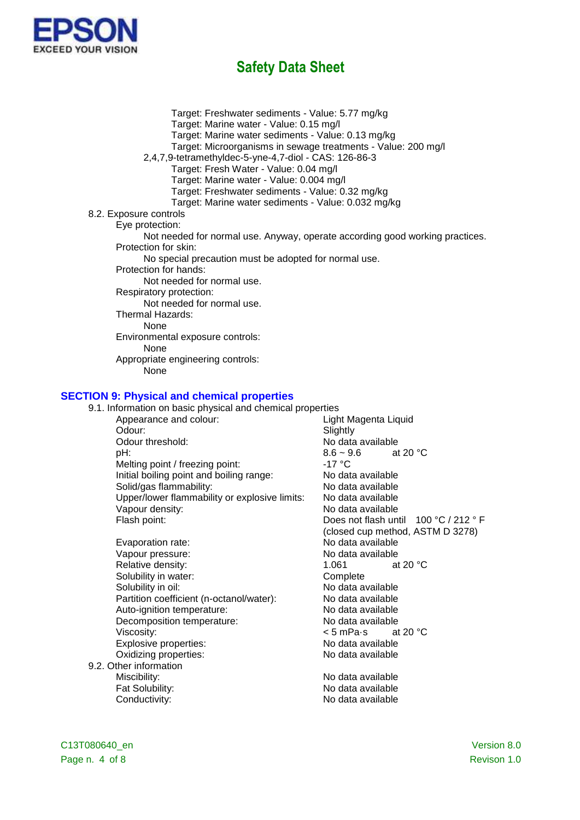

Target: Freshwater sediments - Value: 5.77 mg/kg Target: Marine water - Value: 0.15 mg/l Target: Marine water sediments - Value: 0.13 mg/kg Target: Microorganisms in sewage treatments - Value: 200 mg/l 2,4,7,9-tetramethyldec-5-yne-4,7-diol - CAS: 126-86-3 Target: Fresh Water - Value: 0.04 mg/l Target: Marine water - Value: 0.004 mg/l Target: Freshwater sediments - Value: 0.32 mg/kg Target: Marine water sediments - Value: 0.032 mg/kg 8.2. Exposure controls Eye protection: Not needed for normal use. Anyway, operate according good working practices. Protection for skin: No special precaution must be adopted for normal use. Protection for hands: Not needed for normal use. Respiratory protection: Not needed for normal use. Thermal Hazards: None Environmental exposure controls: None Appropriate engineering controls: None

#### **SECTION 9: Physical and chemical properties**

| 9.1. Information on basic physical and chemical properties |                                       |  |
|------------------------------------------------------------|---------------------------------------|--|
| Appearance and colour:                                     | Light Magenta Liquid                  |  |
| Odour:                                                     |                                       |  |
| Odour threshold:                                           | Slightly<br>No data available         |  |
|                                                            |                                       |  |
| pH:                                                        | $8.6 - 9.6$<br>at 20 $\degree$ C      |  |
| Melting point / freezing point:                            | $-17 °C$                              |  |
| Initial boiling point and boiling range:                   | No data available                     |  |
| Solid/gas flammability:                                    | No data available                     |  |
| Upper/lower flammability or explosive limits:              | No data available                     |  |
| Vapour density:                                            | No data available                     |  |
| Flash point:                                               | Does not flash until 100 °C / 212 ° F |  |
|                                                            | (closed cup method, ASTM D 3278)      |  |
| Evaporation rate:                                          | No data available                     |  |
| Vapour pressure:                                           | No data available                     |  |
| Relative density:                                          | at 20 $\degree$ C<br>1.061            |  |
| Solubility in water:                                       | Complete                              |  |
| Solubility in oil:                                         | No data available                     |  |
| Partition coefficient (n-octanol/water):                   | No data available                     |  |
| Auto-ignition temperature:                                 | No data available                     |  |
| Decomposition temperature:                                 | No data available                     |  |
| Viscosity:                                                 | at 20 $°C$<br>< 5 mPa•s               |  |
| Explosive properties:                                      | No data available                     |  |
| Oxidizing properties:                                      | No data available                     |  |
| 9.2. Other information                                     |                                       |  |
| Miscibility:                                               | No data available                     |  |
| Fat Solubility:                                            | No data available                     |  |
| Conductivity:                                              | No data available                     |  |
|                                                            |                                       |  |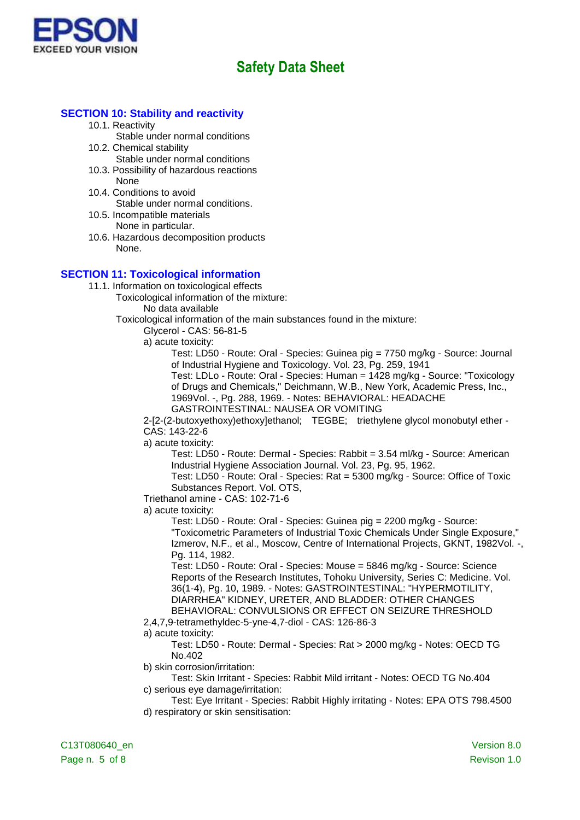

### **SECTION 10: Stability and reactivity**

- 10.1. Reactivity
	- Stable under normal conditions
- 10.2. Chemical stability
	- Stable under normal conditions
- 10.3. Possibility of hazardous reactions None
- 10.4. Conditions to avoid Stable under normal conditions.
- 10.5. Incompatible materials None in particular.
- 10.6. Hazardous decomposition products None.

### **SECTION 11: Toxicological information**

- 11.1. Information on toxicological effects
	- Toxicological information of the mixture:
		- No data available

Toxicological information of the main substances found in the mixture:

Glycerol - CAS: 56-81-5

a) acute toxicity:

Test: LD50 - Route: Oral - Species: Guinea pig = 7750 mg/kg - Source: Journal of Industrial Hygiene and Toxicology. Vol. 23, Pg. 259, 1941

Test: LDLo - Route: Oral - Species: Human = 1428 mg/kg - Source: "Toxicology of Drugs and Chemicals," Deichmann, W.B., New York, Academic Press, Inc., 1969Vol. -, Pg. 288, 1969. - Notes: BEHAVIORAL: HEADACHE GASTROINTESTINAL: NAUSEA OR VOMITING

2-[2-(2-butoxyethoxy)ethoxy]ethanol; TEGBE; triethylene glycol monobutyl ether - CAS: 143-22-6

a) acute toxicity:

Test: LD50 - Route: Dermal - Species: Rabbit = 3.54 ml/kg - Source: American Industrial Hygiene Association Journal. Vol. 23, Pg. 95, 1962.

Test: LD50 - Route: Oral - Species: Rat = 5300 mg/kg - Source: Office of Toxic Substances Report. Vol. OTS,

Triethanol amine - CAS: 102-71-6

a) acute toxicity:

Test: LD50 - Route: Oral - Species: Guinea pig = 2200 mg/kg - Source: "Toxicometric Parameters of Industrial Toxic Chemicals Under Single Exposure," Izmerov, N.F., et al., Moscow, Centre of International Projects, GKNT, 1982Vol. -, Pg. 114, 1982.

Test: LD50 - Route: Oral - Species: Mouse = 5846 mg/kg - Source: Science Reports of the Research Institutes, Tohoku University, Series C: Medicine. Vol. 36(1-4), Pg. 10, 1989. - Notes: GASTROINTESTINAL: "HYPERMOTILITY, DIARRHEA" KIDNEY, URETER, AND BLADDER: OTHER CHANGES BEHAVIORAL: CONVULSIONS OR EFFECT ON SEIZURE THRESHOLD

2,4,7,9-tetramethyldec-5-yne-4,7-diol - CAS: 126-86-3

a) acute toxicity:

Test: LD50 - Route: Dermal - Species: Rat > 2000 mg/kg - Notes: OECD TG No.402

b) skin corrosion/irritation:

- Test: Skin Irritant Species: Rabbit Mild irritant Notes: OECD TG No.404 c) serious eye damage/irritation:
- Test: Eye Irritant Species: Rabbit Highly irritating Notes: EPA OTS 798.4500 d) respiratory or skin sensitisation: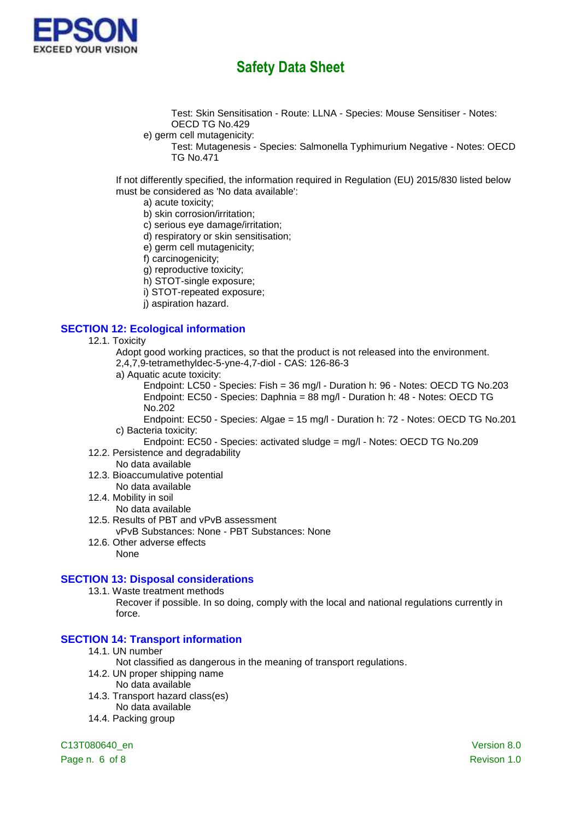

Test: Skin Sensitisation - Route: LLNA - Species: Mouse Sensitiser - Notes: OECD TG No.429

- e) germ cell mutagenicity:
	- Test: Mutagenesis Species: Salmonella Typhimurium Negative Notes: OECD TG No.471

If not differently specified, the information required in Regulation (EU) 2015/830 listed below must be considered as 'No data available':

- a) acute toxicity;
- b) skin corrosion/irritation;
- c) serious eye damage/irritation;
- d) respiratory or skin sensitisation;
- e) germ cell mutagenicity;
- f) carcinogenicity;
- g) reproductive toxicity;
- h) STOT-single exposure;
- i) STOT-repeated exposure;
- j) aspiration hazard.

### **SECTION 12: Ecological information**

- 12.1. Toxicity
	- Adopt good working practices, so that the product is not released into the environment.
	- 2,4,7,9-tetramethyldec-5-yne-4,7-diol CAS: 126-86-3
	- a) Aquatic acute toxicity:

Endpoint: LC50 - Species: Fish = 36 mg/l - Duration h: 96 - Notes: OECD TG No.203 Endpoint: EC50 - Species: Daphnia = 88 mg/l - Duration h: 48 - Notes: OECD TG No.202

- Endpoint: EC50 Species: Algae = 15 mg/l Duration h: 72 Notes: OECD TG No.201 c) Bacteria toxicity:
- Endpoint: EC50 Species: activated sludge = mg/l Notes: OECD TG No.209 12.2. Persistence and degradability
- No data available
- 12.3. Bioaccumulative potential
- No data available
- 12.4. Mobility in soil
- No data available
- 12.5. Results of PBT and vPvB assessment vPvB Substances: None - PBT Substances: None
- 12.6. Other adverse effects
- None

#### **SECTION 13: Disposal considerations**

13.1. Waste treatment methods

Recover if possible. In so doing, comply with the local and national regulations currently in force.

### **SECTION 14: Transport information**

- 14.1. UN number
	- Not classified as dangerous in the meaning of transport regulations.
- 14.2. UN proper shipping name
	- No data available
- 14.3. Transport hazard class(es)
	- No data available
- 14.4. Packing group

C13T080640\_en Version 8.0

Page n. 6 of 8 Revison 1.0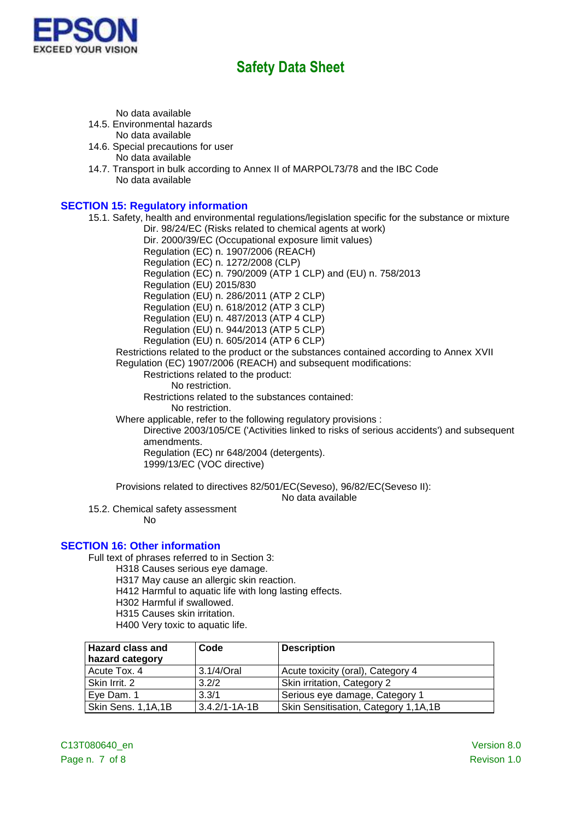

No data available

14.5. Environmental hazards

No data available

- 14.6. Special precautions for user No data available
- 14.7. Transport in bulk according to Annex II of MARPOL73/78 and the IBC Code No data available

### **SECTION 15: Regulatory information**

15.1. Safety, health and environmental regulations/legislation specific for the substance or mixture

Dir. 98/24/EC (Risks related to chemical agents at work)

Dir. 2000/39/EC (Occupational exposure limit values)

Regulation (EC) n. 1907/2006 (REACH) Regulation (EC) n. 1272/2008 (CLP)

Regulation (EC) n. 790/2009 (ATP 1 CLP) and (EU) n. 758/2013

Regulation (EU) 2015/830

Regulation (EU) n. 286/2011 (ATP 2 CLP)

Regulation (EU) n. 618/2012 (ATP 3 CLP)

Regulation (EU) n. 487/2013 (ATP 4 CLP)

Regulation (EU) n. 944/2013 (ATP 5 CLP)

Regulation (EU) n. 605/2014 (ATP 6 CLP)

Restrictions related to the product or the substances contained according to Annex XVII Regulation (EC) 1907/2006 (REACH) and subsequent modifications:

Restrictions related to the product:

No restriction.

Restrictions related to the substances contained:

No restriction.

Where applicable, refer to the following regulatory provisions :

Directive 2003/105/CE ('Activities linked to risks of serious accidents') and subsequent amendments.

Regulation (EC) nr 648/2004 (detergents). 1999/13/EC (VOC directive)

Provisions related to directives 82/501/EC(Seveso), 96/82/EC(Seveso II):

No data available

15.2. Chemical safety assessment

No

### **SECTION 16: Other information**

Full text of phrases referred to in Section 3:

- H318 Causes serious eye damage.
- H317 May cause an allergic skin reaction.
- H412 Harmful to aquatic life with long lasting effects.
- H302 Harmful if swallowed.
- H315 Causes skin irritation.
- H400 Very toxic to aquatic life.

| <b>Hazard class and</b> | Code                | <b>Description</b>                   |
|-------------------------|---------------------|--------------------------------------|
| hazard category         |                     |                                      |
| Acute Tox. 4            | 3.1/4/Oral          | Acute toxicity (oral), Category 4    |
| Skin Irrit. 2           | 3.2/2               | Skin irritation, Category 2          |
| Eye Dam. 1              | 3.3/1               | Serious eye damage, Category 1       |
| Skin Sens. 1,1A,1B      | $3.4.2/1 - 1A - 1B$ | Skin Sensitisation, Category 1,1A,1B |